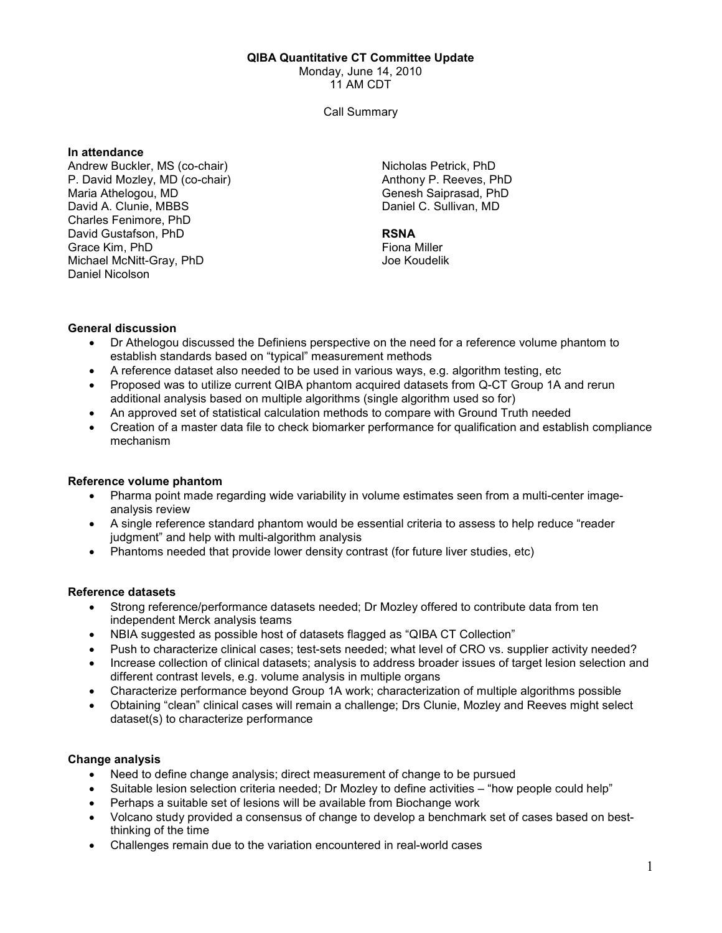#### QIBA Quantitative CT Committee Update

Monday, June 14, 2010

11 AM CDT

Call Summary

#### In attendance

Andrew Buckler, MS (co-chair) P. David Mozley, MD (co-chair) Maria Athelogou, MD David A. Clunie, MBBS Charles Fenimore, PhD David Gustafson, PhD Grace Kim, PhD Michael McNitt-Gray, PhD Daniel Nicolson

Nicholas Petrick, PhD Anthony P. Reeves, PhD Genesh Saiprasad, PhD Daniel C. Sullivan, MD

# RSNA

Fiona Miller Joe Koudelik

### General discussion

- Dr Athelogou discussed the Definiens perspective on the need for a reference volume phantom to establish standards based on "typical" measurement methods
- A reference dataset also needed to be used in various ways, e.g. algorithm testing, etc
- Proposed was to utilize current QIBA phantom acquired datasets from Q-CT Group 1A and rerun additional analysis based on multiple algorithms (single algorithm used so for)
- An approved set of statistical calculation methods to compare with Ground Truth needed
- Creation of a master data file to check biomarker performance for qualification and establish compliance mechanism

## Reference volume phantom

- Pharma point made regarding wide variability in volume estimates seen from a multi-center imageanalysis review
- A single reference standard phantom would be essential criteria to assess to help reduce "reader judgment" and help with multi-algorithm analysis
- Phantoms needed that provide lower density contrast (for future liver studies, etc)

#### Reference datasets

- Strong reference/performance datasets needed; Dr Mozley offered to contribute data from ten independent Merck analysis teams
- NBIA suggested as possible host of datasets flagged as "QIBA CT Collection"
- Push to characterize clinical cases; test-sets needed; what level of CRO vs. supplier activity needed?
- Increase collection of clinical datasets; analysis to address broader issues of target lesion selection and different contrast levels, e.g. volume analysis in multiple organs
- Characterize performance beyond Group 1A work; characterization of multiple algorithms possible
- Obtaining "clean" clinical cases will remain a challenge; Drs Clunie, Mozley and Reeves might select dataset(s) to characterize performance

#### Change analysis

- Need to define change analysis; direct measurement of change to be pursued
- Suitable lesion selection criteria needed; Dr Mozley to define activities "how people could help"
- Perhaps a suitable set of lesions will be available from Biochange work
- Volcano study provided a consensus of change to develop a benchmark set of cases based on bestthinking of the time
- Challenges remain due to the variation encountered in real-world cases